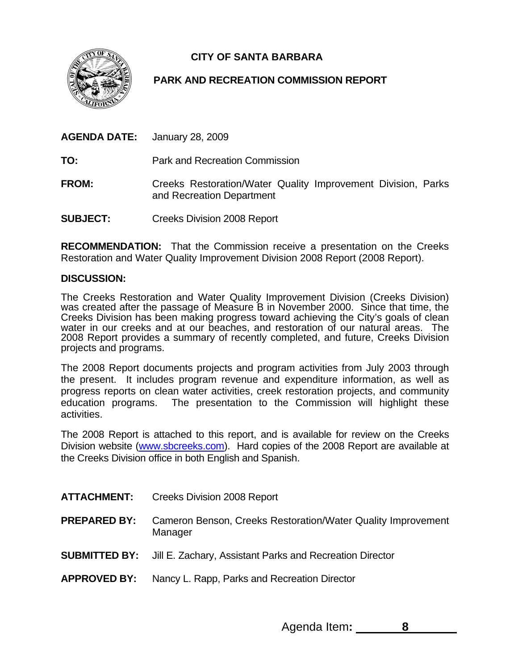**CITY OF SANTA BARBARA** 



## **PARK AND RECREATION COMMISSION REPORT**

**GENDA DATE:** January 28, 2009 **AGENDA DATE:** 

**O:** Park and Recreation Commission **T**

- **FROM:** Creeks Restoration/Water Quality Improvement Division, Parks and Recreation Department
- **Creeks Division 2008 Report** SUBJECT:

**RECOMMENDATION:** That the Commission receive a presentation on the Creeks Restoration and Water Quality Improvement Division 2008 Report (2008 Report).

## **DISCUSSION:**

2008 Report provides a summary of recently completed, and future, Creeks Division The Creeks Restoration and Water Quality Improvement Division (Creeks Division) was created after the passage of Measure B in November 2000. Since that time, the Creeks Division has been making progress toward achieving the City's goals of clean water in our creeks and at our beaches, and restoration of our natural areas. The projects and programs.

education programs. The presentation to the Commission will highlight these The 2008 Report documents projects and program activities from July 2003 through the present. It includes program revenue and expenditure information, as well as progress reports on clean water activities, creek restoration projects, and community activities.

The 2008 Report is attached to this report, and is available for review on the Creeks Division website [\(www.sbcreeks.com](http://www.sbcreeks.com/)). Hard copies of the 2008 Report are available at the Creeks Division office in both English and Spanish.

| <b>ATTACHMENT:</b>  | <b>Creeks Division 2008 Report</b>                                      |
|---------------------|-------------------------------------------------------------------------|
| <b>PREPARED BY:</b> | Cameron Benson, Creeks Restoration/Water Quality Improvement<br>Manager |

- **Jill E. Zachary, Assistant Parks and Recreation Director SUBMITTED BY:**
- Nancy L. Rapp, Parks and Recreation Director **APPROVED BY:**

Agenda Item**: 8**